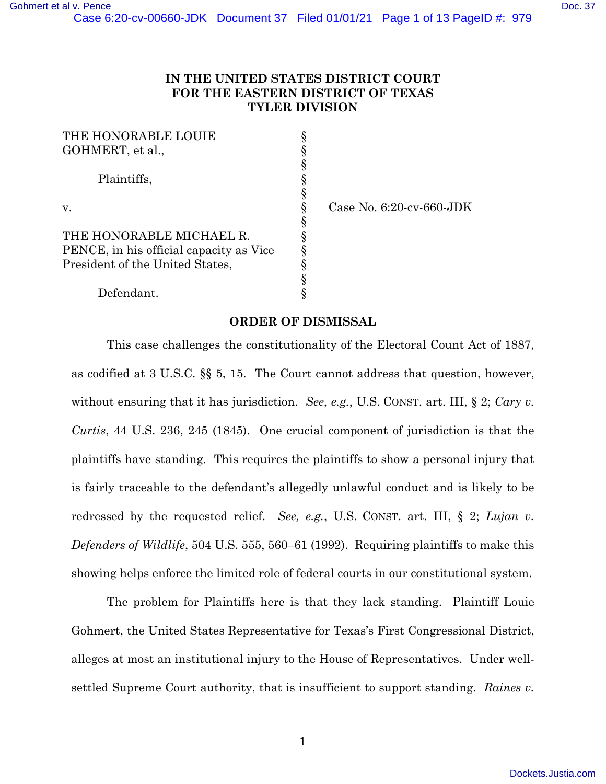## **IN THE UNITED STATES DISTRICT COURT FOR THE EASTERN DISTRICT OF TEXAS TYLER DIVISION**

| THE HONORABLE LOUIE                     |   |
|-----------------------------------------|---|
| GOHMERT, et al.,                        |   |
|                                         |   |
| Plaintiffs,                             |   |
|                                         |   |
| v.                                      |   |
|                                         | ş |
| THE HONORABLE MICHAEL R.                |   |
| PENCE, in his official capacity as Vice |   |
| President of the United States,         |   |
|                                         |   |
| Defendant.                              |   |

Case No. 6:20-cv-660-JDK

## **ORDER OF DISMISSAL**

This case challenges the constitutionality of the Electoral Count Act of 1887, as codified at 3 U.S.C. §§ 5, 15. The Court cannot address that question, however, without ensuring that it has jurisdiction. *See, e.g.*, U.S. CONST. art. III, § 2; *Cary v. Curtis*, 44 U.S. 236, 245 (1845). One crucial component of jurisdiction is that the plaintiffs have standing. This requires the plaintiffs to show a personal injury that is fairly traceable to the defendant's allegedly unlawful conduct and is likely to be redressed by the requested relief. *See, e.g.*, U.S. CONST. art. III, § 2; *Lujan v. Defenders of Wildlife*, 504 U.S. 555, 560–61 (1992). Requiring plaintiffs to make this showing helps enforce the limited role of federal courts in our constitutional system.

The problem for Plaintiffs here is that they lack standing. Plaintiff Louie Gohmert, the United States Representative for Texas's First Congressional District, alleges at most an institutional injury to the House of Representatives. Under wellsettled Supreme Court authority, that is insufficient to support standing. *Raines v.*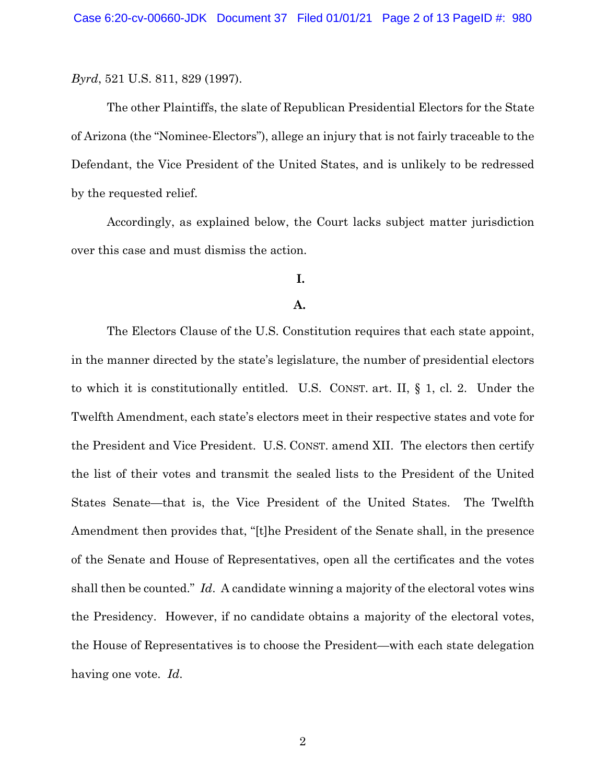*Byrd*, 521 U.S. 811, 829 (1997).

The other Plaintiffs, the slate of Republican Presidential Electors for the State of Arizona (the "Nominee-Electors"), allege an injury that is not fairly traceable to the Defendant, the Vice President of the United States, and is unlikely to be redressed by the requested relief.

Accordingly, as explained below, the Court lacks subject matter jurisdiction over this case and must dismiss the action.

# **I.**

### **A.**

The Electors Clause of the U.S. Constitution requires that each state appoint, in the manner directed by the state's legislature, the number of presidential electors to which it is constitutionally entitled. U.S. CONST. art. II, § 1, cl. 2. Under the Twelfth Amendment, each state's electors meet in their respective states and vote for the President and Vice President. U.S. CONST. amend XII. The electors then certify the list of their votes and transmit the sealed lists to the President of the United States Senate—that is, the Vice President of the United States. The Twelfth Amendment then provides that, "[t]he President of the Senate shall, in the presence of the Senate and House of Representatives, open all the certificates and the votes shall then be counted." *Id*. A candidate winning a majority of the electoral votes wins the Presidency. However, if no candidate obtains a majority of the electoral votes, the House of Representatives is to choose the President—with each state delegation having one vote. *Id*.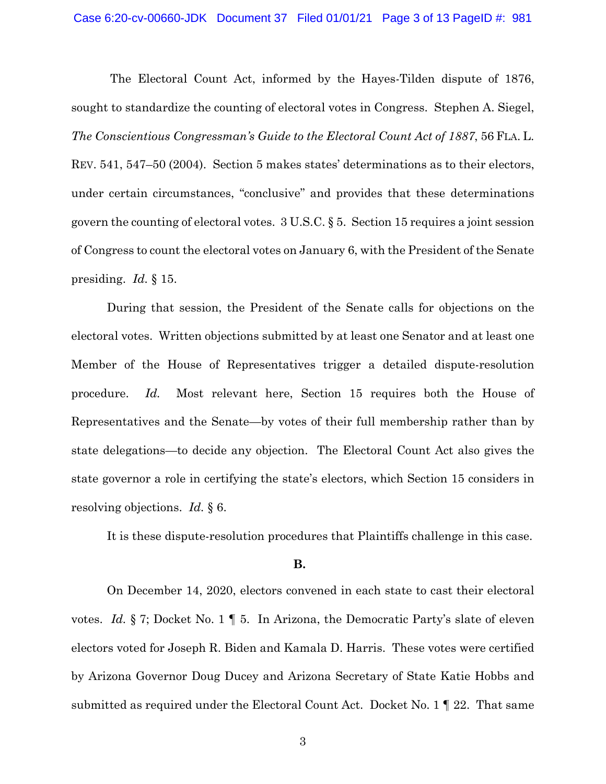#### Case 6:20-cv-00660-JDK Document 37 Filed 01/01/21 Page 3 of 13 PageID #: 981

 The Electoral Count Act, informed by the Hayes-Tilden dispute of 1876, sought to standardize the counting of electoral votes in Congress. Stephen A. Siegel, *The Conscientious Congressman's Guide to the Electoral Count Act of 1887*, 56 FLA. L. REV. 541, 547–50 (2004). Section 5 makes states' determinations as to their electors, under certain circumstances, "conclusive" and provides that these determinations govern the counting of electoral votes. 3 U.S.C. § 5. Section 15 requires a joint session of Congress to count the electoral votes on January 6, with the President of the Senate presiding. *Id.* § 15.

During that session, the President of the Senate calls for objections on the electoral votes. Written objections submitted by at least one Senator and at least one Member of the House of Representatives trigger a detailed dispute-resolution procedure. *Id.* Most relevant here, Section 15 requires both the House of Representatives and the Senate—by votes of their full membership rather than by state delegations—to decide any objection. The Electoral Count Act also gives the state governor a role in certifying the state's electors, which Section 15 considers in resolving objections. *Id.* § 6.

It is these dispute-resolution procedures that Plaintiffs challenge in this case.

#### **B.**

On December 14, 2020, electors convened in each state to cast their electoral votes. *Id.* § 7; Docket No. 1 ¶ 5. In Arizona, the Democratic Party's slate of eleven electors voted for Joseph R. Biden and Kamala D. Harris. These votes were certified by Arizona Governor Doug Ducey and Arizona Secretary of State Katie Hobbs and submitted as required under the Electoral Count Act. Docket No. 1 ¶ 22. That same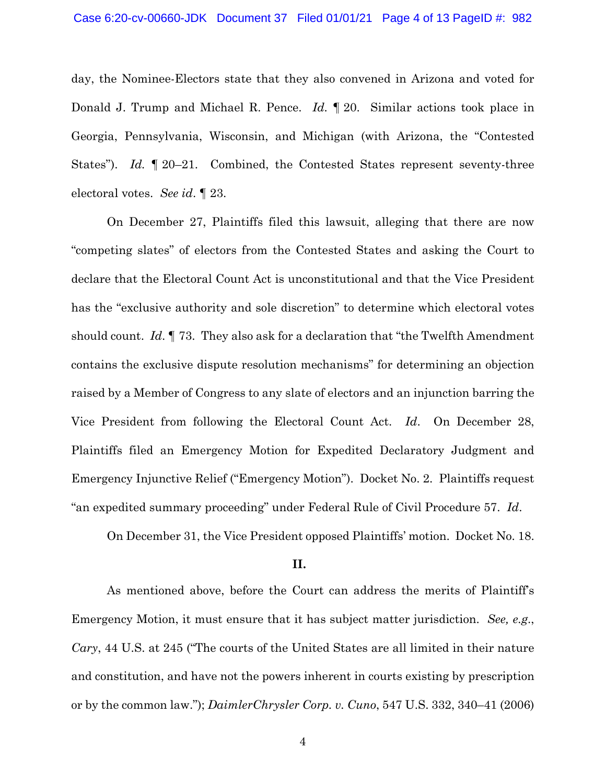day, the Nominee-Electors state that they also convened in Arizona and voted for Donald J. Trump and Michael R. Pence. *Id.* ¶ 20. Similar actions took place in Georgia, Pennsylvania, Wisconsin, and Michigan (with Arizona, the "Contested States"). *Id.* ¶ 20–21. Combined, the Contested States represent seventy-three electoral votes. *See id*. ¶ 23.

On December 27, Plaintiffs filed this lawsuit, alleging that there are now "competing slates" of electors from the Contested States and asking the Court to declare that the Electoral Count Act is unconstitutional and that the Vice President has the "exclusive authority and sole discretion" to determine which electoral votes should count. *Id*. ¶ 73. They also ask for a declaration that "the Twelfth Amendment contains the exclusive dispute resolution mechanisms" for determining an objection raised by a Member of Congress to any slate of electors and an injunction barring the Vice President from following the Electoral Count Act. *Id*. On December 28, Plaintiffs filed an Emergency Motion for Expedited Declaratory Judgment and Emergency Injunctive Relief ("Emergency Motion"). Docket No. 2. Plaintiffs request "an expedited summary proceeding" under Federal Rule of Civil Procedure 57. *Id*.

On December 31, the Vice President opposed Plaintiffs' motion. Docket No. 18.

#### **II.**

As mentioned above, before the Court can address the merits of Plaintiff's Emergency Motion, it must ensure that it has subject matter jurisdiction. *See, e.g*., *Cary*, 44 U.S. at 245 ("The courts of the United States are all limited in their nature and constitution, and have not the powers inherent in courts existing by prescription or by the common law."); *DaimlerChrysler Corp. v. Cuno*, 547 U.S. 332, 340–41 (2006)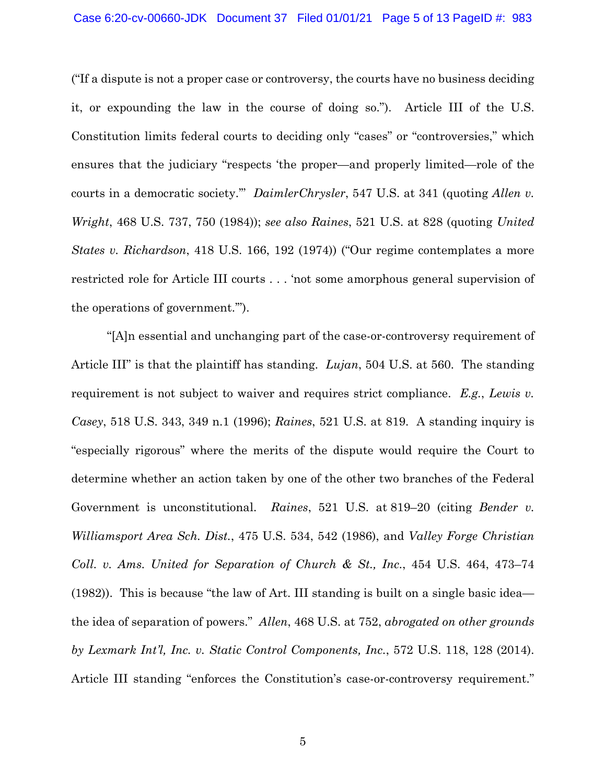("If a dispute is not a proper case or controversy, the courts have no business deciding it, or expounding the law in the course of doing so."). Article III of the U.S. Constitution limits federal courts to deciding only "cases" or "controversies," which ensures that the judiciary "respects 'the proper—and properly limited—role of the courts in a democratic society.'" *DaimlerChrysler*, 547 U.S. at 341 (quoting *Allen v. Wright*, 468 U.S. 737, 750 (1984)); *see also Raines*, 521 U.S. at 828 (quoting *United States v. Richardson*, 418 U.S. 166, 192 (1974)) ("Our regime contemplates a more restricted role for Article III courts . . . 'not some amorphous general supervision of the operations of government.'").

"[A]n essential and unchanging part of the case-or-controversy requirement of Article III" is that the plaintiff has standing. *Lujan*, 504 U.S. at 560. The standing requirement is not subject to waiver and requires strict compliance. *E.g.*, *Lewis v. Casey*, 518 U.S. 343, 349 n.1 (1996); *Raines*, 521 U.S. at 819. A standing inquiry is "especially rigorous" where the merits of the dispute would require the Court to determine whether an action taken by one of the other two branches of the Federal Government is unconstitutional. *Raines*, 521 U.S. at 819–20 (citing *Bender v. Williamsport Area Sch. Dist.*, 475 U.S. 534, 542 (1986), and *Valley Forge Christian Coll. v. Ams. United for Separation of Church & St., Inc.*, 454 U.S. 464, 473–74 (1982)). This is because "the law of Art. III standing is built on a single basic idea the idea of separation of powers." *Allen*, 468 U.S. at 752, *abrogated on other grounds by Lexmark Int'l, Inc. v. Static Control Components, Inc.*, 572 U.S. 118, 128 (2014). Article III standing "enforces the Constitution's case-or-controversy requirement."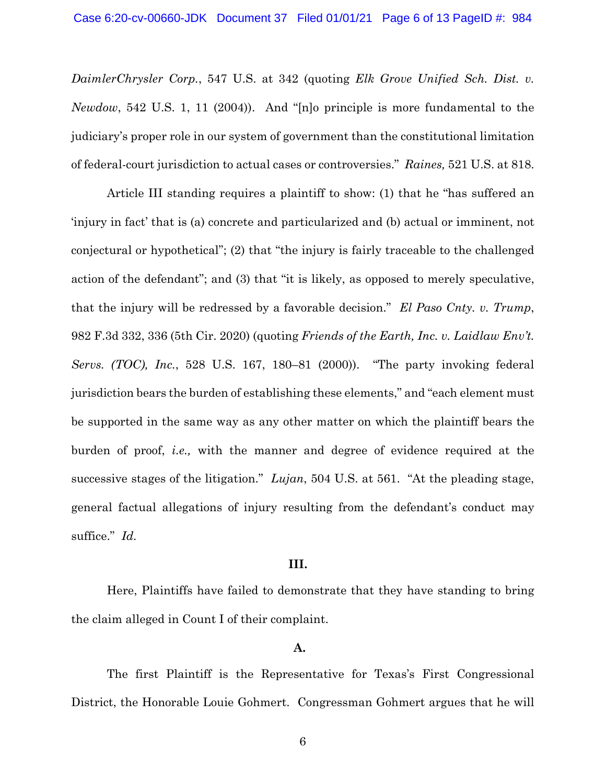*DaimlerChrysler Corp.*, 547 U.S. at 342 (quoting *Elk Grove Unified Sch. Dist. v. Newdow*, 542 U.S. 1, 11 (2004)). And "[n]o principle is more fundamental to the judiciary's proper role in our system of government than the constitutional limitation of federal-court jurisdiction to actual cases or controversies." *Raines,* 521 U.S. at 818.

Article III standing requires a plaintiff to show: (1) that he "has suffered an 'injury in fact' that is (a) concrete and particularized and (b) actual or imminent, not conjectural or hypothetical"; (2) that "the injury is fairly traceable to the challenged action of the defendant"; and (3) that "it is likely, as opposed to merely speculative, that the injury will be redressed by a favorable decision." *El Paso Cnty. v. Trump*, 982 F.3d 332, 336 (5th Cir. 2020) (quoting *Friends of the Earth, Inc. v. Laidlaw Env't. Servs. (TOC), Inc.*, 528 U.S. 167, 180–81 (2000)). "The party invoking federal jurisdiction bears the burden of establishing these elements," and "each element must be supported in the same way as any other matter on which the plaintiff bears the burden of proof, *i.e.,* with the manner and degree of evidence required at the successive stages of the litigation." *Lujan*, 504 U.S. at 561. "At the pleading stage, general factual allegations of injury resulting from the defendant's conduct may suffice." *Id.* 

### **III.**

Here, Plaintiffs have failed to demonstrate that they have standing to bring the claim alleged in Count I of their complaint.

# **A.**

The first Plaintiff is the Representative for Texas's First Congressional District, the Honorable Louie Gohmert. Congressman Gohmert argues that he will

6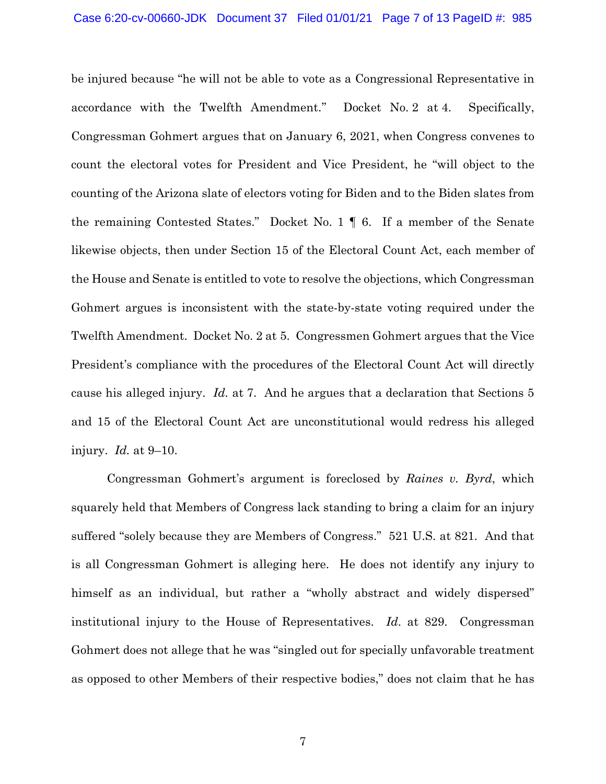be injured because "he will not be able to vote as a Congressional Representative in accordance with the Twelfth Amendment.'' Docket No. 2 at 4. Specifically, Congressman Gohmert argues that on January 6, 2021, when Congress convenes to count the electoral votes for President and Vice President, he "will object to the counting of the Arizona slate of electors voting for Biden and to the Biden slates from the remaining Contested States." Docket No. 1 ¶ 6. If a member of the Senate likewise objects, then under Section 15 of the Electoral Count Act, each member of the House and Senate is entitled to vote to resolve the objections, which Congressman Gohmert argues is inconsistent with the state-by-state voting required under the Twelfth Amendment. Docket No. 2 at 5. Congressmen Gohmert argues that the Vice President's compliance with the procedures of the Electoral Count Act will directly cause his alleged injury. *Id.* at 7. And he argues that a declaration that Sections 5 and 15 of the Electoral Count Act are unconstitutional would redress his alleged injury. *Id.* at 9–10.

Congressman Gohmert's argument is foreclosed by *Raines v. Byrd*, which squarely held that Members of Congress lack standing to bring a claim for an injury suffered "solely because they are Members of Congress." 521 U.S. at 821. And that is all Congressman Gohmert is alleging here. He does not identify any injury to himself as an individual, but rather a "wholly abstract and widely dispersed" institutional injury to the House of Representatives. *Id*. at 829. Congressman Gohmert does not allege that he was "singled out for specially unfavorable treatment as opposed to other Members of their respective bodies," does not claim that he has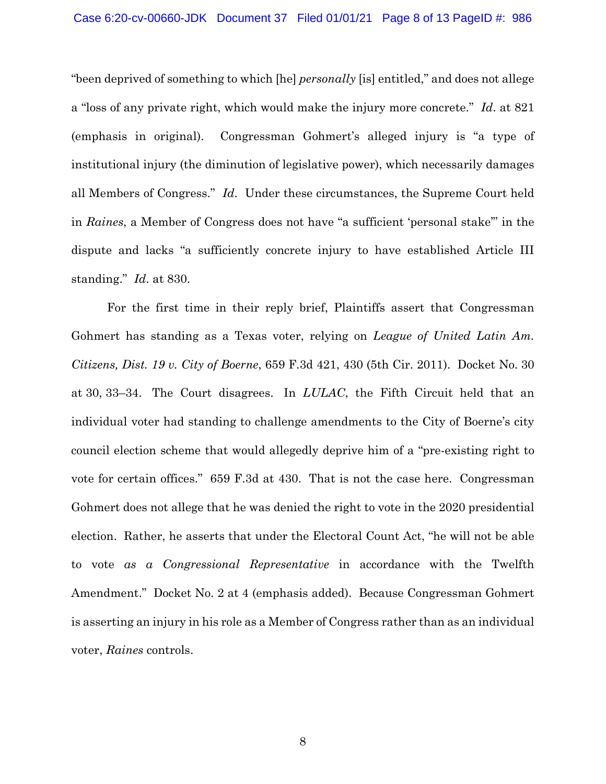"been deprived of something to which [he] *personally* [is] entitled," and does not allege a "loss of any private right, which would make the injury more concrete." *Id*. at 821 (emphasis in original). Congressman Gohmert's alleged injury is "a type of institutional injury (the diminution of legislative power), which necessarily damages all Members of Congress." *Id*. Under these circumstances, the Supreme Court held in *Raines*, a Member of Congress does not have "a sufficient 'personal stake'" in the dispute and lacks "a sufficiently concrete injury to have established Article III standing." *Id*. at 830.

For the first time in their reply brief, Plaintiffs assert that Congressman Gohmert has standing as a Texas voter, relying on *League of United Latin Am. Citizens, Dist. 19 v. City of Boerne*, 659 F.3d 421, 430 (5th Cir. 2011). Docket No. 30 at 30, 33–34. The Court disagrees. In *LULAC*, the Fifth Circuit held that an individual voter had standing to challenge amendments to the City of Boerne's city council election scheme that would allegedly deprive him of a "pre-existing right to vote for certain offices." 659 F.3d at 430. That is not the case here. Congressman Gohmert does not allege that he was denied the right to vote in the 2020 presidential election. Rather, he asserts that under the Electoral Count Act, "he will not be able to vote *as a Congressional Representative* in accordance with the Twelfth Amendment." Docket No. 2 at 4 (emphasis added). Because Congressman Gohmert is asserting an injury in his role as a Member of Congress rather than as an individual voter, *Raines* controls.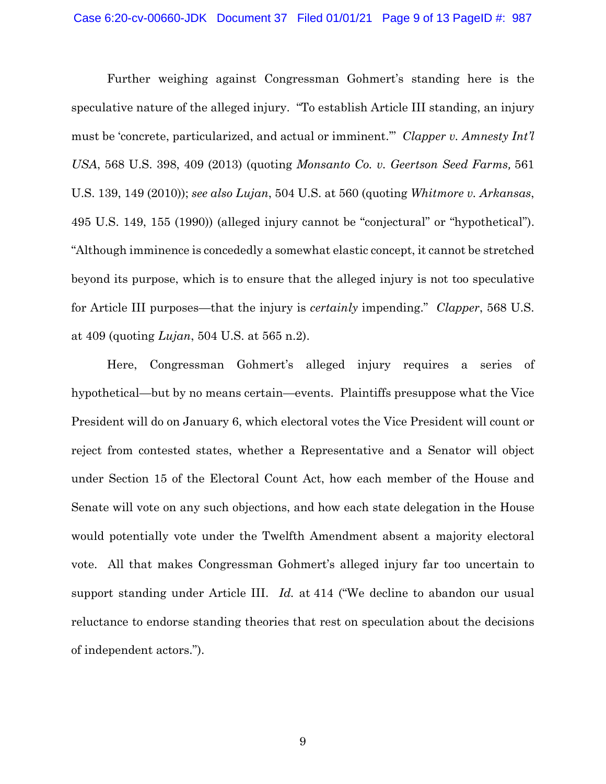Further weighing against Congressman Gohmert's standing here is the speculative nature of the alleged injury. "To establish Article III standing, an injury must be 'concrete, particularized, and actual or imminent.'" *Clapper v. Amnesty Int'l USA*, 568 U.S. 398, 409 (2013) (quoting *Monsanto Co. v. Geertson Seed Farms,* 561 U.S. 139, 149 (2010)); *see also Lujan*, 504 U.S. at 560 (quoting *Whitmore v. Arkansas*, 495 U.S. 149, 155 (1990)) (alleged injury cannot be "conjectural" or "hypothetical"). "Although imminence is concededly a somewhat elastic concept, it cannot be stretched beyond its purpose, which is to ensure that the alleged injury is not too speculative for Article III purposes—that the injury is *certainly* impending." *Clapper*, 568 U.S. at 409 (quoting *Lujan*, 504 U.S. at 565 n.2).

Here, Congressman Gohmert's alleged injury requires a series of hypothetical—but by no means certain—events. Plaintiffs presuppose what the Vice President will do on January 6, which electoral votes the Vice President will count or reject from contested states, whether a Representative and a Senator will object under Section 15 of the Electoral Count Act, how each member of the House and Senate will vote on any such objections, and how each state delegation in the House would potentially vote under the Twelfth Amendment absent a majority electoral vote. All that makes Congressman Gohmert's alleged injury far too uncertain to support standing under Article III. *Id.* at 414 ("We decline to abandon our usual reluctance to endorse standing theories that rest on speculation about the decisions of independent actors.").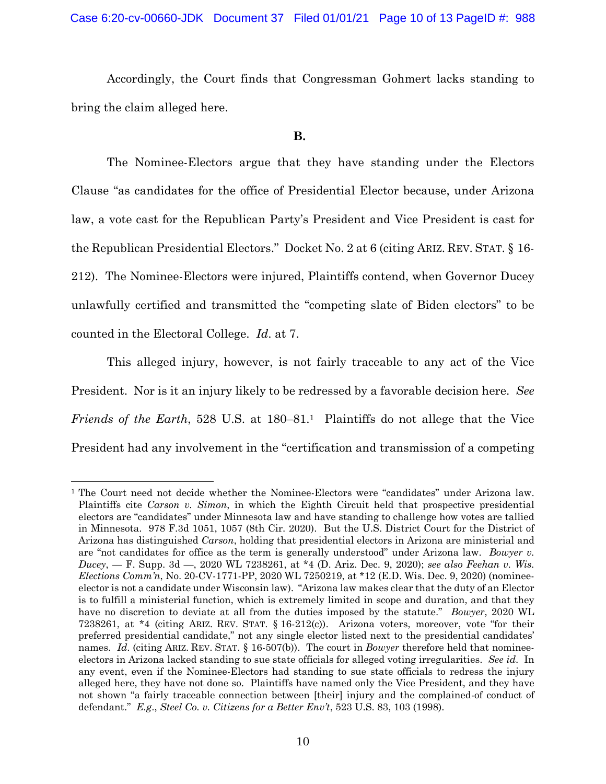Accordingly, the Court finds that Congressman Gohmert lacks standing to bring the claim alleged here.

### **B.**

The Nominee-Electors argue that they have standing under the Electors Clause "as candidates for the office of Presidential Elector because, under Arizona law, a vote cast for the Republican Party's President and Vice President is cast for the Republican Presidential Electors." Docket No. 2 at 6 (citing ARIZ. REV. STAT. § 16- 212). The Nominee-Electors were injured, Plaintiffs contend, when Governor Ducey unlawfully certified and transmitted the "competing slate of Biden electors" to be counted in the Electoral College. *Id*. at 7.

This alleged injury, however, is not fairly traceable to any act of the Vice President. Nor is it an injury likely to be redressed by a favorable decision here. *See Friends of the Earth*, 528 U.S. at 180–81.<sup>1</sup> Plaintiffs do not allege that the Vice President had any involvement in the "certification and transmission of a competing

<sup>&</sup>lt;sup>1</sup> The Court need not decide whether the Nominee-Electors were "candidates" under Arizona law. Plaintiffs cite *Carson v. Simon*, in which the Eighth Circuit held that prospective presidential electors are "candidates" under Minnesota law and have standing to challenge how votes are tallied in Minnesota. 978 F.3d 1051, 1057 (8th Cir. 2020). But the U.S. District Court for the District of Arizona has distinguished *Carson*, holding that presidential electors in Arizona are ministerial and are "not candidates for office as the term is generally understood" under Arizona law. *Bowyer v. Ducey*, — F. Supp. 3d —, 2020 WL 7238261, at \*4 (D. Ariz. Dec. 9, 2020); *see also Feehan v. Wis. Elections Comm'n*, No. 20-CV-1771-PP, 2020 WL 7250219, at \*12 (E.D. Wis. Dec. 9, 2020) (nomineeelector is not a candidate under Wisconsin law). "Arizona law makes clear that the duty of an Elector is to fulfill a ministerial function, which is extremely limited in scope and duration, and that they have no discretion to deviate at all from the duties imposed by the statute." *Bowyer*, 2020 WL 7238261, at \*4 (citing ARIZ. REV. STAT. § 16-212(c)). Arizona voters, moreover, vote "for their preferred presidential candidate," not any single elector listed next to the presidential candidates' names. *Id*. (citing ARIZ. REV. STAT. § 16-507(b)). The court in *Bowyer* therefore held that nomineeelectors in Arizona lacked standing to sue state officials for alleged voting irregularities. *See id*. In any event, even if the Nominee-Electors had standing to sue state officials to redress the injury alleged here, they have not done so. Plaintiffs have named only the Vice President, and they have not shown "a fairly traceable connection between [their] injury and the complained-of conduct of defendant." *E.g*., *Steel Co. v. Citizens for a Better Env't*, 523 U.S. 83, 103 (1998).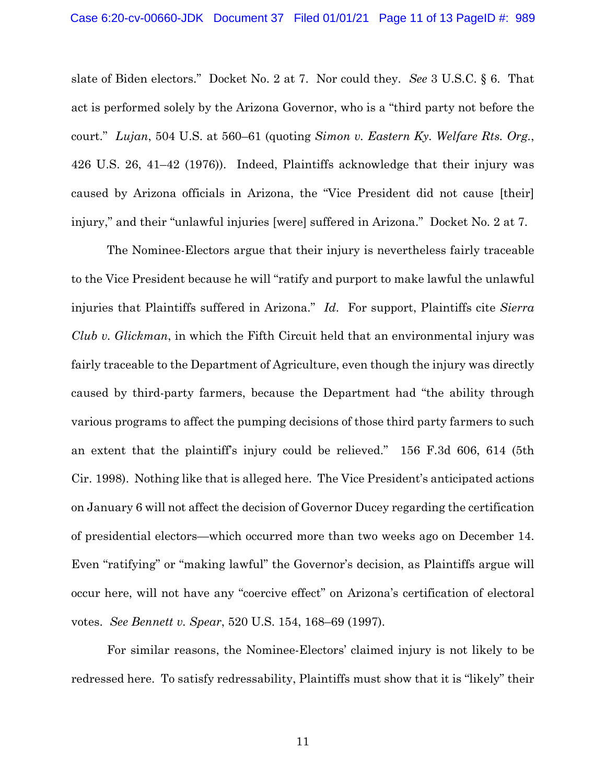slate of Biden electors." Docket No. 2 at 7. Nor could they. *See* 3 U.S.C. § 6. That act is performed solely by the Arizona Governor, who is a "third party not before the court." *Lujan*, 504 U.S. at 560–61 (quoting *Simon v. Eastern Ky. Welfare Rts. Org.*, 426 U.S. 26, 41–42 (1976)). Indeed, Plaintiffs acknowledge that their injury was caused by Arizona officials in Arizona, the "Vice President did not cause [their] injury," and their "unlawful injuries [were] suffered in Arizona." Docket No. 2 at 7.

The Nominee-Electors argue that their injury is nevertheless fairly traceable to the Vice President because he will "ratify and purport to make lawful the unlawful injuries that Plaintiffs suffered in Arizona." *Id*. For support, Plaintiffs cite *Sierra Club v. Glickman*, in which the Fifth Circuit held that an environmental injury was fairly traceable to the Department of Agriculture, even though the injury was directly caused by third-party farmers, because the Department had "the ability through various programs to affect the pumping decisions of those third party farmers to such an extent that the plaintiff's injury could be relieved." 156 F.3d 606, 614 (5th Cir. 1998). Nothing like that is alleged here. The Vice President's anticipated actions on January 6 will not affect the decision of Governor Ducey regarding the certification of presidential electors—which occurred more than two weeks ago on December 14. Even "ratifying" or "making lawful" the Governor's decision, as Plaintiffs argue will occur here, will not have any "coercive effect" on Arizona's certification of electoral votes. *See Bennett v. Spear*, 520 U.S. 154, 168–69 (1997).

For similar reasons, the Nominee-Electors' claimed injury is not likely to be redressed here. To satisfy redressability, Plaintiffs must show that it is "likely" their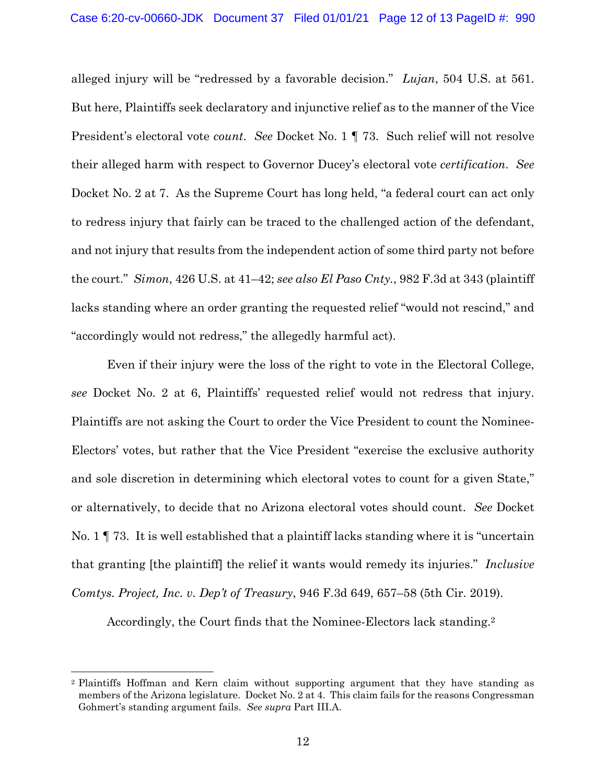alleged injury will be "redressed by a favorable decision." *Lujan*, 504 U.S. at 561. But here, Plaintiffs seek declaratory and injunctive relief as to the manner of the Vice President's electoral vote *count*. *See* Docket No. 1 ¶ 73. Such relief will not resolve their alleged harm with respect to Governor Ducey's electoral vote *certification*. *See*  Docket No. 2 at 7. As the Supreme Court has long held, "a federal court can act only to redress injury that fairly can be traced to the challenged action of the defendant, and not injury that results from the independent action of some third party not before the court." *Simon*, 426 U.S. at 41–42; *see also El Paso Cnty.*, 982 F.3d at 343 (plaintiff lacks standing where an order granting the requested relief "would not rescind," and "accordingly would not redress," the allegedly harmful act).

Even if their injury were the loss of the right to vote in the Electoral College, *see* Docket No. 2 at 6, Plaintiffs' requested relief would not redress that injury. Plaintiffs are not asking the Court to order the Vice President to count the Nominee-Electors' votes, but rather that the Vice President "exercise the exclusive authority and sole discretion in determining which electoral votes to count for a given State," or alternatively, to decide that no Arizona electoral votes should count. *See* Docket No. 1 ¶ 73. It is well established that a plaintiff lacks standing where it is "uncertain that granting [the plaintiff] the relief it wants would remedy its injuries." *Inclusive Comtys. Project, Inc. v. Dep't of Treasury*, 946 F.3d 649, 657–58 (5th Cir. 2019).

Accordingly, the Court finds that the Nominee-Electors lack standing.<sup>2</sup>

<sup>2</sup> Plaintiffs Hoffman and Kern claim without supporting argument that they have standing as members of the Arizona legislature. Docket No. 2 at 4. This claim fails for the reasons Congressman Gohmert's standing argument fails. *See supra* Part III.A.